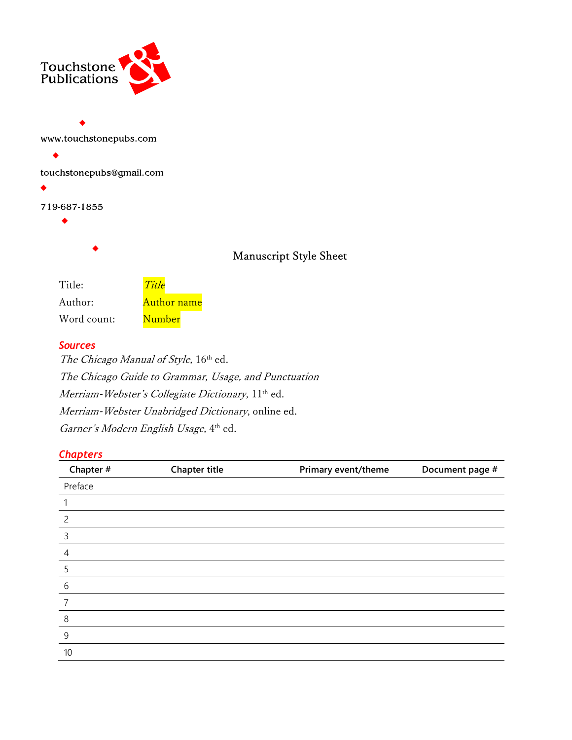

| www.touchstonepubs.com   |      |
|--------------------------|------|
|                          |      |
| touchstonepubs@gmail.com |      |
|                          |      |
| 719-687-1855             |      |
|                          |      |
|                          |      |
|                          | Manı |
|                          |      |
| $T_{it}$<br>$T_{\rm it}$ |      |

# uscript Style Sheet

| Title:      | Title              |
|-------------|--------------------|
| Author:     | <b>Author name</b> |
| Word count: | Number             |

#### **Sources**

> The Chicago Manual of Style, 16th ed. The Chicago Guide to Grammar, Usage, and Punctuation Merriam-Webster's Collegiate Dictionary, 11<sup>th</sup> ed. Merriam-Webster Unabridged Dictionary, online ed. Garner's Modern English Usage, 4th ed.

### **Chapters**

| Chapter #      | <b>Chapter title</b> | Primary event/theme | Document page # |
|----------------|----------------------|---------------------|-----------------|
| Preface        |                      |                     |                 |
|                |                      |                     |                 |
| $\overline{c}$ |                      |                     |                 |
| 3              |                      |                     |                 |
| $\overline{4}$ |                      |                     |                 |
| 5              |                      |                     |                 |
| 6              |                      |                     |                 |
|                |                      |                     |                 |
| 8              |                      |                     |                 |
| 9              |                      |                     |                 |
| 10             |                      |                     |                 |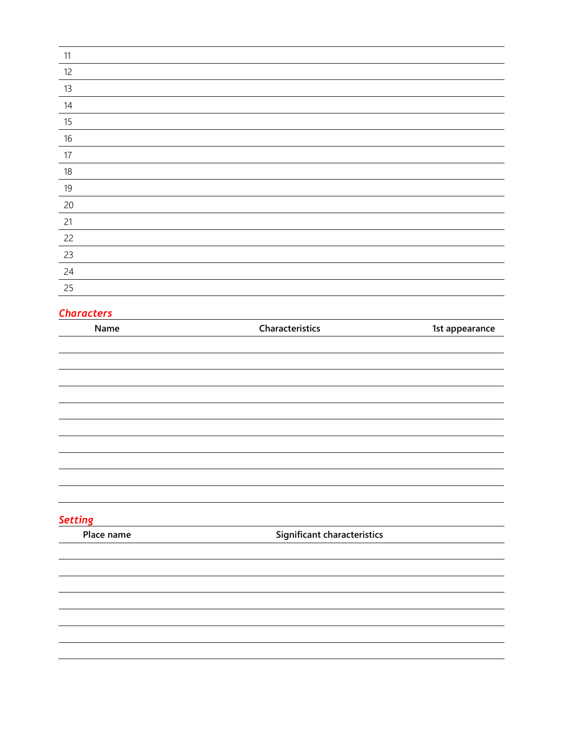| 11     |  |
|--------|--|
| 12     |  |
| 13     |  |
| 14     |  |
| 15     |  |
| $16\,$ |  |
| 17     |  |
| $18\,$ |  |
| 19     |  |
| 20     |  |
| 21     |  |
| 22     |  |
| 23     |  |
| 24     |  |
| 25     |  |
|        |  |

## **Characters**

| Name           | Characteristics             | 1st appearance |
|----------------|-----------------------------|----------------|
|                |                             |                |
|                |                             |                |
|                |                             |                |
|                |                             |                |
|                |                             |                |
|                |                             |                |
|                |                             |                |
|                |                             |                |
|                |                             |                |
|                |                             |                |
| <b>Setting</b> |                             |                |
| Place name     | Significant characteristics |                |
|                |                             |                |
|                |                             |                |
|                |                             |                |
|                |                             |                |
|                |                             |                |
|                |                             |                |
|                |                             |                |
|                |                             |                |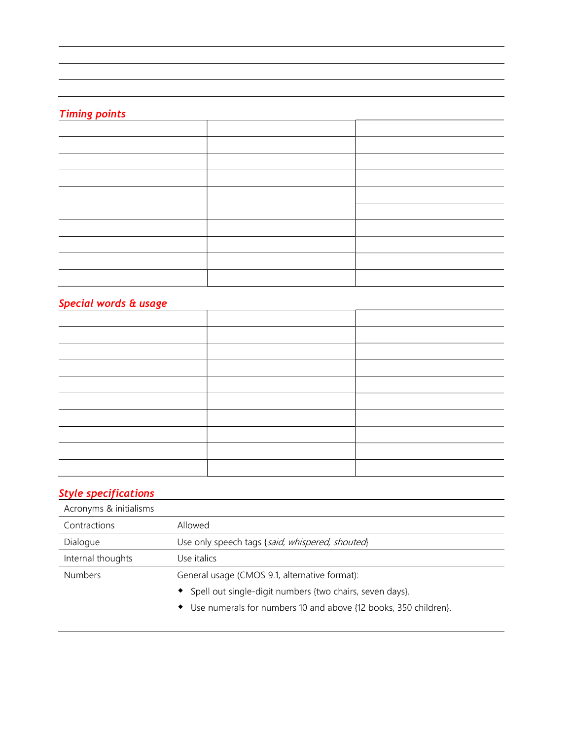#### Timing points

| $\cdots \cdots \cdots$ |  |  |
|------------------------|--|--|
|                        |  |  |
|                        |  |  |
|                        |  |  |
|                        |  |  |
|                        |  |  |
|                        |  |  |
|                        |  |  |
|                        |  |  |
|                        |  |  |
|                        |  |  |

### Special words & usage

| $\epsilon$ is the contract of $\epsilon$ and $\epsilon$ |  |
|---------------------------------------------------------|--|
|                                                         |  |
|                                                         |  |
|                                                         |  |
|                                                         |  |
|                                                         |  |
|                                                         |  |
|                                                         |  |
|                                                         |  |
|                                                         |  |
|                                                         |  |
|                                                         |  |

## Style specifications

| Acronyms & initialisms |                                                                              |
|------------------------|------------------------------------------------------------------------------|
| Contractions           | Allowed                                                                      |
| Dialogue               | Use only speech tags {said, whispered, shouted}                              |
| Internal thoughts      | Use italics.                                                                 |
| <b>Numbers</b>         | General usage (CMOS 9.1, alternative format):                                |
|                        | Spell out single-digit numbers {two chairs, seven days}.                     |
|                        | Use numerals for numbers 10 and above {12 books, 350 children}.<br>$\bullet$ |